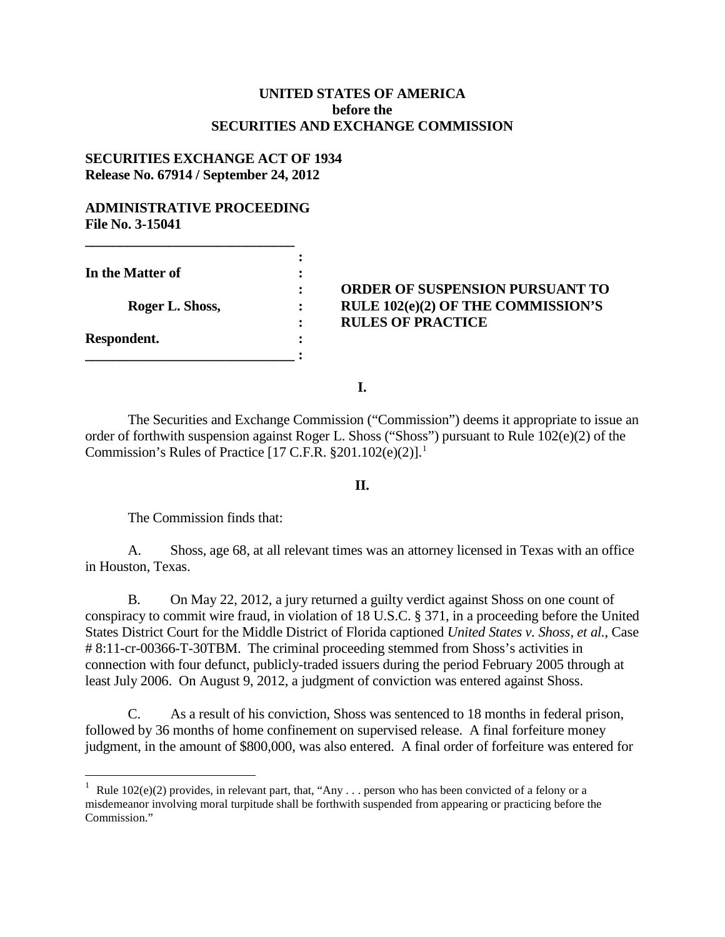## **UNITED STATES OF AMERICA before the SECURITIES AND EXCHANGE COMMISSION**

## **SECURITIES EXCHANGE ACT OF 1934 Release No. 67914 / September 24, 2012**

#### **ADMINISTRATIVE PROCEEDING File No. 3-15041**

**\_\_\_\_\_\_\_\_\_\_\_\_\_\_\_\_\_\_\_\_\_\_\_\_\_\_\_\_\_\_** 

**\_\_\_\_\_\_\_\_\_\_\_\_\_\_\_\_\_\_\_\_\_\_\_\_\_\_\_\_\_\_ :**

**In the Matter of :**

**Respondent. :**

# **: ORDER OF SUSPENSION PURSUANT TO Roger L. Shoss, : RULE 102(e)(2) OF THE COMMISSION'S : RULES OF PRACTICE**

**I.**

**:**

The Securities and Exchange Commission ("Commission") deems it appropriate to issue an order of forthwith suspension against Roger L. Shoss ("Shoss") pursuant to Rule 102(e)(2) of the Commission's Rules of Practice  $[17 \text{ C.F.R. } §201.102(e)(2)]$  $[17 \text{ C.F.R. } §201.102(e)(2)]$  $[17 \text{ C.F.R. } §201.102(e)(2)]$ .<sup>1</sup>

## **II.**

The Commission finds that:

A. Shoss, age 68, at all relevant times was an attorney licensed in Texas with an office in Houston, Texas.

B. On May 22, 2012, a jury returned a guilty verdict against Shoss on one count of conspiracy to commit wire fraud, in violation of 18 U.S.C. § 371, in a proceeding before the United States District Court for the Middle District of Florida captioned *United States v. Shoss, et al.*, Case # 8:11-cr-00366-T-30TBM. The criminal proceeding stemmed from Shoss's activities in connection with four defunct, publicly-traded issuers during the period February 2005 through at least July 2006. On August 9, 2012, a judgment of conviction was entered against Shoss.

C. As a result of his conviction, Shoss was sentenced to 18 months in federal prison, followed by 36 months of home confinement on supervised release. A final forfeiture money judgment, in the amount of \$800,000, was also entered. A final order of forfeiture was entered for

<span id="page-0-0"></span> $\frac{1}{1}$ Rule  $102(e)(2)$  provides, in relevant part, that, "Any . . . person who has been convicted of a felony or a misdemeanor involving moral turpitude shall be forthwith suspended from appearing or practicing before the Commission."